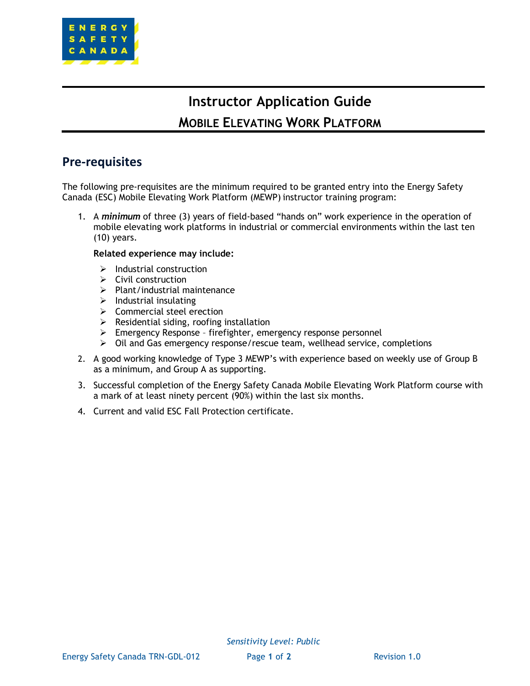

# **Instructor Application Guide MOBILE ELEVATING WORK PLATFORM**

### **Pre-requisites**

The following pre-requisites are the minimum required to be granted entry into the Energy Safety Canada (ESC) Mobile Elevating Work Platform (MEWP) instructor training program:

1. A *minimum* of three (3) years of field-based "hands on" work experience in the operation of mobile elevating work platforms in industrial or commercial environments within the last ten (10) years.

#### **Related experience may include:**

- $\triangleright$  Industrial construction
- ➢ Civil construction
- ➢ Plant/industrial maintenance
- $\triangleright$  Industrial insulating
- ➢ Commercial steel erection
- $\triangleright$  Residential siding, roofing installation
- ➢ Emergency Response firefighter, emergency response personnel
- ➢ Oil and Gas emergency response/rescue team, wellhead service, completions
- 2. A good working knowledge of Type 3 MEWP's with experience based on weekly use of Group B as a minimum, and Group A as supporting.
- 3. Successful completion of the Energy Safety Canada Mobile Elevating Work Platform course with a mark of at least ninety percent (90%) within the last six months.
- 4. Current and valid ESC Fall Protection certificate.